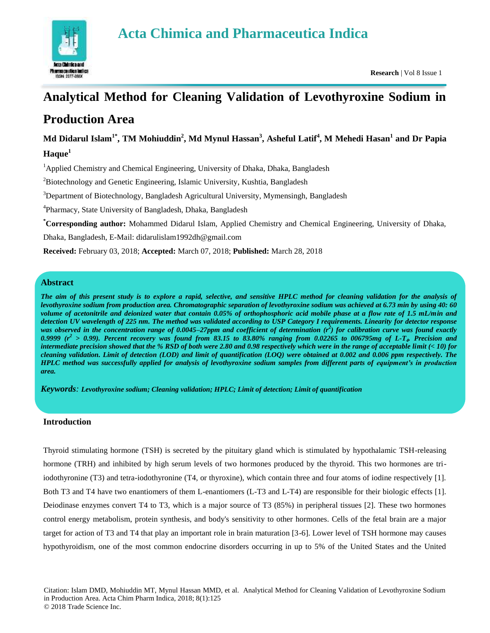# **Acta Chimica and Pharmaceutica Indica**



# **Analytical Method for Cleaning Validation of Levothyroxine Sodium in Production Area**

# **Md Didarul Islam1\*, TM Mohiuddin<sup>2</sup> , Md Mynul Hassan<sup>3</sup> , Asheful Latif<sup>4</sup> , M Mehedi Hasan<sup>1</sup> and Dr Papia Haque<sup>1</sup>**

<sup>1</sup>Applied Chemistry and Chemical Engineering, University of Dhaka, Dhaka, Bangladesh

<sup>2</sup>Biotechnology and Genetic Engineering, Islamic University, Kushtia, Bangladesh

<sup>3</sup>Department of Biotechnology, Bangladesh Agricultural University, Mymensingh, Bangladesh

<sup>4</sup>Pharmacy, State University of Bangladesh, Dhaka, Bangladesh

**\*Corresponding author:** Mohammed Didarul Islam, Applied Chemistry and Chemical Engineering, University of Dhaka,

Dhaka, Bangladesh, E-Mail: didarulislam1992dh@gmail.com

**Received:** February 03, 2018; **Accepted:** March 07, 2018; **Published:** March 28, 2018

# **Abstract**

*The aim of this present study is to explore a rapid, selective, and sensitive HPLC method for cleaning validation for the analysis of levothyroxine sodium from production area. Chromatographic separation of levothyroxine sodium was achieved at 6.73 min by using 40: 60 volume of acetonitrile and deionized water that contain 0.05% of orthophosphoric acid mobile phase at a flow rate of 1.5 mL/min and detection UV wavelength of 225 nm. The method was validated according to USP Category I requirements. Linearity for detector response*  was observed in the concentration range of 0.0045–27ppm and coefficient of determination ( $r^2$ ) for calibration curve was found exactly 0.9999 ( $r^2 > 0.99$ ). Percent recovery was found from 83.15 to 83.80% ranging from 0.02265 to 006795mg of L-T<sub>4</sub>. Precision and *intermediate precision showed that the % RSD of both were 2.80 and 0.98 respectively which were in the range of acceptable limit (< 10) for cleaning validation. Limit of detection (LOD) and limit of quantification (LOQ) were obtained at 0.002 and 0.006 ppm respectively. The HPLC method was successfully applied for analysis of levothyroxine sodium samples from different parts of equipment's in production area.*

*Keywords: Levothyroxine sodium; Cleaning validation; HPLC; Limit of detection; Limit of quantification*

# **Introduction**

Thyroid stimulating hormone (TSH) is secreted by the pituitary gland which is stimulated by hypothalamic TSH-releasing hormone (TRH) and inhibited by high serum levels of two hormones produced by the thyroid. This two hormones are triiodothyronine (T3) and tetra-iodothyronine (T4, or thyroxine), which contain three and four atoms of iodine respectively [1]. Both T3 and T4 have two enantiomers of them L-enantiomers (L-T3 and L-T4) are responsible for their biologic effects [1]. Deiodinase enzymes convert T4 to T3, which is a major source of T3 (85%) in peripheral tissues [2]. These two hormones control energy metabolism, protein synthesis, and body's sensitivity to other hormones. Cells of the fetal brain are a major target for action of T3 and T4 that play an important role in brain maturation [3-6]. Lower level of TSH hormone may causes hypothyroidism, one of the most common endocrine disorders occurring in up to 5% of the United States and the United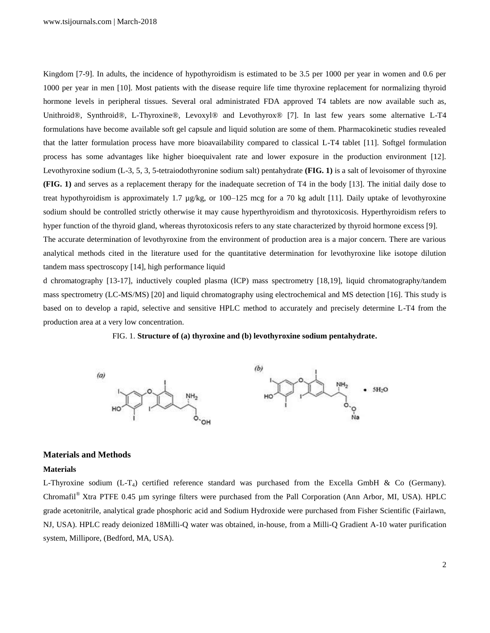Kingdom [7-9]. In adults, the incidence of hypothyroidism is estimated to be 3.5 per 1000 per year in women and 0.6 per 1000 per year in men [10]. Most patients with the disease require life time thyroxine replacement for normalizing thyroid hormone levels in peripheral tissues. Several oral administrated FDA approved T4 tablets are now available such as, Unithroid®, Synthroid®, L-Thyroxine®, Levoxyl® and Levothyrox® [7]. In last few years some alternative L-T4 formulations have become available soft gel capsule and liquid solution are some of them. Pharmacokinetic studies revealed that the latter formulation process have more bioavailability compared to classical L-T4 tablet [11]. Softgel formulation process has some advantages like higher bioequivalent rate and lower exposure in the production environment [12]. Levothyroxine sodium (L-3, 5, 3, 5-tetraiodothyronine sodium salt) pentahydrate **(FIG. 1)** is a salt of levoisomer of thyroxine **(FIG. 1)** and serves as a replacement therapy for the inadequate secretion of T4 in the body [13]. The initial daily dose to treat hypothyroidism is approximately 1.7 µg/kg, or 100–125 mcg for a 70 kg adult [11]. Daily uptake of levothyroxine sodium should be controlled strictly otherwise it may cause hyperthyroidism and thyrotoxicosis. Hyperthyroidism refers to hyper function of the thyroid gland, whereas thyrotoxicosis refers to any state characterized by thyroid hormone excess [9].

The accurate determination of levothyroxine from the environment of production area is a major concern. There are various analytical methods cited in the literature used for the quantitative determination for levothyroxine like isotope dilution tandem mass spectroscopy [14], high performance liquid

d chromatography [13-17], inductively coupled plasma (ICP) mass spectrometry [18,19], liquid chromatography/tandem mass spectrometry (LC-MS/MS) [20] and liquid chromatography using electrochemical and MS detection [16]. This study is based on to develop a rapid, selective and sensitive HPLC method to accurately and precisely determine L-T4 from the production area at a very low concentration.





#### **Materials and Methods**

#### **Materials**

L-Thyroxine sodium  $(L-T_4)$  certified reference standard was purchased from the Excella GmbH & Co (Germany). Chromafil® Xtra PTFE 0.45 µm syringe filters were purchased from the Pall Corporation (Ann Arbor, MI, USA). HPLC grade acetonitrile, analytical grade phosphoric acid and Sodium Hydroxide were purchased from Fisher Scientific (Fairlawn, NJ, USA). HPLC ready deionized 18Milli-Q water was obtained, in-house, from a Milli-Q Gradient A-10 water purification system, Millipore, (Bedford, MA, USA).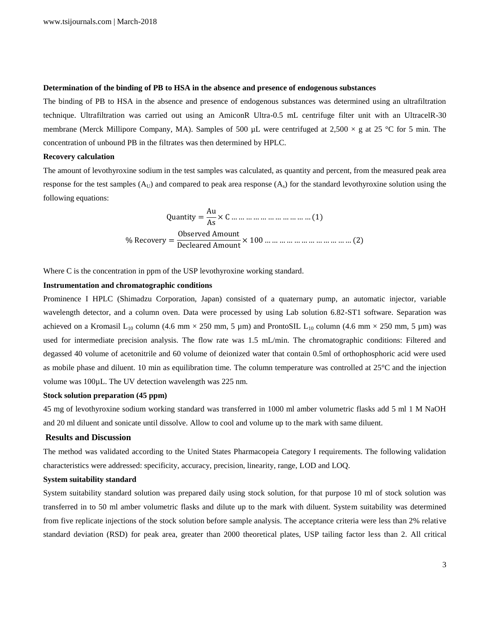#### **Determination of the binding of PB to HSA in the absence and presence of endogenous substances**

The binding of PB to HSA in the absence and presence of endogenous substances was determined using an ultrafiltration technique. Ultrafiltration was carried out using an AmiconR Ultra-0.5 mL centrifuge filter unit with an UltracelR-30 membrane (Merck Millipore Company, MA). Samples of 500  $\mu$ L were centrifuged at 2,500  $\times$  g at 25 °C for 5 min. The concentration of unbound PB in the filtrates was then determined by HPLC.

#### **Recovery calculation**

The amount of levothyroxine sodium in the test samples was calculated, as quantity and percent, from the measured peak area response for the test samples  $(A_U)$  and compared to peak area response  $(A_s)$  for the standard levothyroxine solution using the following equations:

$$
Quantity = \frac{Au}{As} \times C \dots \dots \dots \dots \dots \dots \dots \dots \dots \dots \dots (1)
$$
  
% Recovery = 
$$
\frac{Observed Amount}{Decleared Amount} \times 100 \dots \dots \dots \dots \dots \dots \dots \dots \dots \dots \dots \dots \dots \dots (2)
$$

Where C is the concentration in ppm of the USP levothyroxine working standard.

#### **Instrumentation and chromatographic conditions**

Prominence I HPLC (Shimadzu Corporation, Japan) consisted of a quaternary pump, an automatic injector, variable wavelength detector, and a column oven. Data were processed by using Lab solution 6.82-ST1 software. Separation was achieved on a Kromasil L<sub>10</sub> column (4.6 mm  $\times$  250 mm, 5 µm) and ProntoSIL L<sub>10</sub> column (4.6 mm  $\times$  250 mm, 5 µm) was used for intermediate precision analysis. The flow rate was 1.5 mL/min. The chromatographic conditions: Filtered and degassed 40 volume of acetonitrile and 60 volume of deionized water that contain 0.5ml of orthophosphoric acid were used as mobile phase and diluent. 10 min as equilibration time. The column temperature was controlled at 25°C and the injection volume was 100µL. The UV detection wavelength was 225 nm.

# **Stock solution preparation (45 ppm)**

45 mg of levothyroxine sodium working standard was transferred in 1000 ml amber volumetric flasks add 5 ml 1 M NaOH and 20 ml diluent and sonicate until dissolve. Allow to cool and volume up to the mark with same diluent.

#### **Results and Discussion**

The method was validated according to the United States Pharmacopeia Category I requirements. The following validation characteristics were addressed: specificity, accuracy, precision, linearity, range, LOD and LOQ.

#### **System suitability standard**

System suitability standard solution was prepared daily using stock solution, for that purpose 10 ml of stock solution was transferred in to 50 ml amber volumetric flasks and dilute up to the mark with diluent. System suitability was determined from five replicate injections of the stock solution before sample analysis. The acceptance criteria were less than 2% relative standard deviation (RSD) for peak area, greater than 2000 theoretical plates, USP tailing factor less than 2. All critical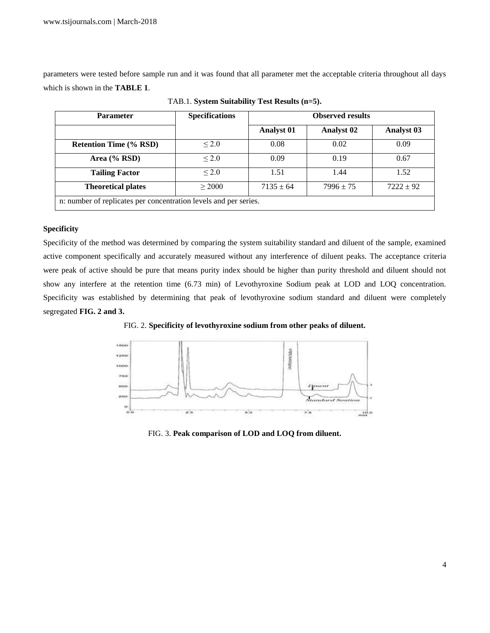parameters were tested before sample run and it was found that all parameter met the acceptable criteria throughout all days which is shown in the **TABLE 1**.

| <b>Parameter</b>                                                 | <b>Specifications</b> | <b>Observed results</b> |                   |                   |
|------------------------------------------------------------------|-----------------------|-------------------------|-------------------|-------------------|
|                                                                  |                       | <b>Analyst 01</b>       | <b>Analyst 02</b> | <b>Analyst 03</b> |
| <b>Retention Time (% RSD)</b>                                    | $\leq 2.0$            | 0.08                    | 0.02              | 0.09              |
| Area $(\%$ RSD)                                                  | < 2.0                 | 0.09                    | 0.19              | 0.67              |
| <b>Tailing Factor</b>                                            | $\leq$ 2.0            | 1.51                    | 1.44              | 1.52              |
| <b>Theoretical plates</b>                                        | > 2000                | $7135 \pm 64$           | $7996 \pm 75$     | $7222 \pm 92$     |
| n: number of replicates per concentration levels and per series. |                       |                         |                   |                   |

TAB.1. **System Suitability Test Results (n=5).**

# **Specificity**

Specificity of the method was determined by comparing the system suitability standard and diluent of the sample, examined active component specifically and accurately measured without any interference of diluent peaks. The acceptance criteria were peak of active should be pure that means purity index should be higher than purity threshold and diluent should not show any interfere at the retention time (6.73 min) of Levothyroxine Sodium peak at LOD and LOQ concentration. Specificity was established by determining that peak of levothyroxine sodium standard and diluent were completely segregated **FIG. 2 and 3.** 

FIG. 2. **Specificity of levothyroxine sodium from other peaks of diluent.**



FIG. 3. **Peak comparison of LOD and LOQ from diluent.**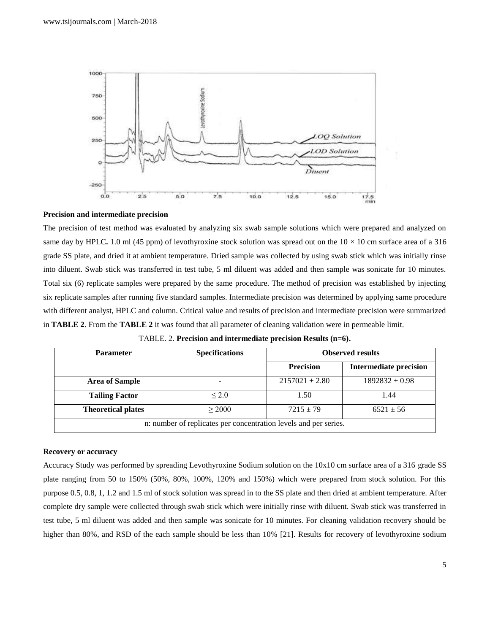

#### **Precision and intermediate precision**

The precision of test method was evaluated by analyzing six swab sample solutions which were prepared and analyzed on same day by HPLC. 1.0 ml (45 ppm) of levothyroxine stock solution was spread out on the  $10 \times 10$  cm surface area of a 316 grade SS plate, and dried it at ambient temperature. Dried sample was collected by using swab stick which was initially rinse into diluent. Swab stick was transferred in test tube, 5 ml diluent was added and then sample was sonicate for 10 minutes. Total six (6) replicate samples were prepared by the same procedure. The method of precision was established by injecting six replicate samples after running five standard samples. Intermediate precision was determined by applying same procedure with different analyst, HPLC and column. Critical value and results of precision and intermediate precision were summarized in **TABLE 2**. From the **TABLE 2** it was found that all parameter of cleaning validation were in permeable limit.

| <b>Parameter</b>                                                 | <b>Specifications</b> | <b>Observed results</b> |                               |  |
|------------------------------------------------------------------|-----------------------|-------------------------|-------------------------------|--|
|                                                                  |                       | <b>Precision</b>        | <b>Intermediate precision</b> |  |
| <b>Area of Sample</b>                                            |                       | $2157021 + 2.80$        | $1892832 \pm 0.98$            |  |
| <b>Tailing Factor</b>                                            | $\leq$ 2.0            | 1.50                    | 1.44                          |  |
| <b>Theoretical plates</b>                                        | > 2000                | $7215 \pm 79$           | $6521 \pm 56$                 |  |
| n: number of replicates per concentration levels and per series. |                       |                         |                               |  |

TABLE. 2. **Precision and intermediate precision Results (n=6).**

#### **Recovery or accuracy**

Accuracy Study was performed by spreading Levothyroxine Sodium solution on the 10x10 cm surface area of a 316 grade SS plate ranging from 50 to 150% (50%, 80%, 100%, 120% and 150%) which were prepared from stock solution. For this purpose 0.5, 0.8, 1, 1.2 and 1.5 ml of stock solution was spread in to the SS plate and then dried at ambient temperature. After complete dry sample were collected through swab stick which were initially rinse with diluent. Swab stick was transferred in test tube, 5 ml diluent was added and then sample was sonicate for 10 minutes. For cleaning validation recovery should be higher than 80%, and RSD of the each sample should be less than 10% [21]. Results for recovery of levothyroxine sodium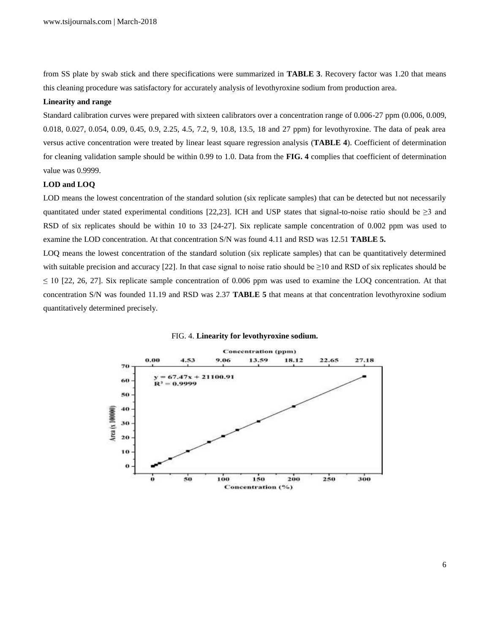from SS plate by swab stick and there specifications were summarized in **TABLE 3**. Recovery factor was 1.20 that means this cleaning procedure was satisfactory for accurately analysis of levothyroxine sodium from production area.

#### **Linearity and range**

Standard calibration curves were prepared with sixteen calibrators over a concentration range of 0.006-27 ppm (0.006, 0.009, 0.018, 0.027, 0.054, 0.09, 0.45, 0.9, 2.25, 4.5, 7.2, 9, 10.8, 13.5, 18 and 27 ppm) for levothyroxine. The data of peak area versus active concentration were treated by linear least square regression analysis (**TABLE 4**). Coefficient of determination for cleaning validation sample should be within 0.99 to 1.0. Data from the **FIG. 4** complies that coefficient of determination value was 0.9999.

# **LOD and LOQ**

LOD means the lowest concentration of the standard solution (six replicate samples) that can be detected but not necessarily quantitated under stated experimental conditions [22,23]. ICH and USP states that signal-to-noise ratio should be  $\geq 3$  and RSD of six replicates should be within 10 to 33 [24-27]. Six replicate sample concentration of 0.002 ppm was used to examine the LOD concentration. At that concentration S/N was found 4.11 and RSD was 12.51 **TABLE 5.**

LOQ means the lowest concentration of the standard solution (six replicate samples) that can be quantitatively determined with suitable precision and accuracy [22]. In that case signal to noise ratio should be  $\geq 10$  and RSD of six replicates should be  $\leq$  10 [22, 26, 27]. Six replicate sample concentration of 0.006 ppm was used to examine the LOQ concentration. At that concentration S/N was founded 11.19 and RSD was 2.37 **TABLE 5** that means at that concentration levothyroxine sodium quantitatively determined precisely.



#### FIG. 4. **Linearity for levothyroxine sodium.**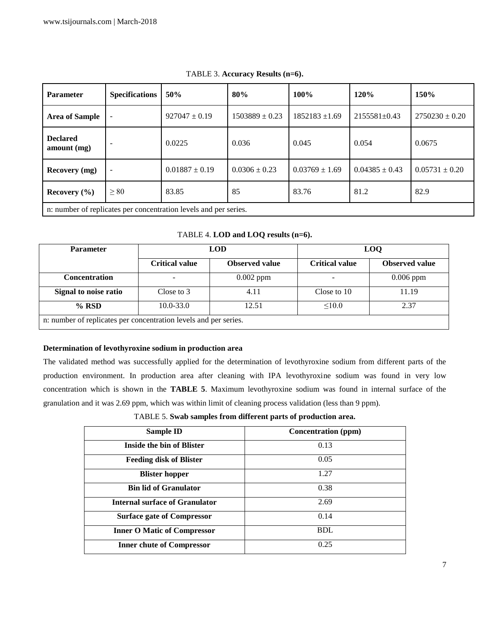| <b>Parameter</b>                                                 | <b>Specifications</b> | 50%                | 80%                | 100%               | 120%               | 150%               |
|------------------------------------------------------------------|-----------------------|--------------------|--------------------|--------------------|--------------------|--------------------|
| <b>Area of Sample</b>                                            |                       | $927047 \pm 0.19$  | $1503889 \pm 0.23$ | $1852183 \pm 1.69$ | $2155581 \pm 0.43$ | $2750230 \pm 0.20$ |
| <b>Declared</b><br>amount (mg)                                   |                       | 0.0225             | 0.036              | 0.045              | 0.054              | 0.0675             |
| <b>Recovery</b> (mg)                                             |                       | $0.01887 \pm 0.19$ | $0.0306 \pm 0.23$  | $0.03769 \pm 1.69$ | $0.04385 \pm 0.43$ | $0.05731 \pm 0.20$ |
| Recovery $(\% )$                                                 | $\geq 80$             | 83.85              | 85                 | 83.76              | 81.2               | 82.9               |
| n: number of replicates per concentration levels and per series. |                       |                    |                    |                    |                    |                    |

TABLE 3. **Accuracy Results (n=6).**

| <b>Parameter</b>                                                 | <b>LOD</b>            |                       | <b>LOO</b>            |                       |
|------------------------------------------------------------------|-----------------------|-----------------------|-----------------------|-----------------------|
|                                                                  | <b>Critical value</b> | <b>Observed value</b> | <b>Critical value</b> | <b>Observed</b> value |
| <b>Concentration</b>                                             |                       | $0.002$ ppm           |                       | $0.006$ ppm           |
| Signal to noise ratio                                            | Close to 3            | 4.11                  | Close to 10           | 11.19                 |
| $%$ RSD                                                          | $10.0 - 33.0$         | 12.51                 | < 10.0                | 2.37                  |
| n: number of replicates per concentration levels and per series. |                       |                       |                       |                       |

TABLE 4. **LOD and LOQ results (n=6).**

# **Determination of levothyroxine sodium in production area**

The validated method was successfully applied for the determination of levothyroxine sodium from different parts of the production environment. In production area after cleaning with IPA levothyroxine sodium was found in very low concentration which is shown in the **TABLE 5**. Maximum levothyroxine sodium was found in internal surface of the granulation and it was 2.69 ppm, which was within limit of cleaning process validation (less than 9 ppm).

TABLE 5. **Swab samples from different parts of production area.**

| <b>Sample ID</b>                      | Concentration (ppm) |
|---------------------------------------|---------------------|
| <b>Inside the bin of Blister</b>      | 0.13                |
| <b>Feeding disk of Blister</b>        | 0.05                |
| <b>Blister hopper</b>                 | 1.27                |
| <b>Bin lid of Granulator</b>          | 0.38                |
| <b>Internal surface of Granulator</b> | 2.69                |
| <b>Surface gate of Compressor</b>     | 0.14                |
| <b>Inner O Matic of Compressor</b>    | <b>BDL</b>          |
| <b>Inner chute of Compressor</b>      | 0.25                |
|                                       |                     |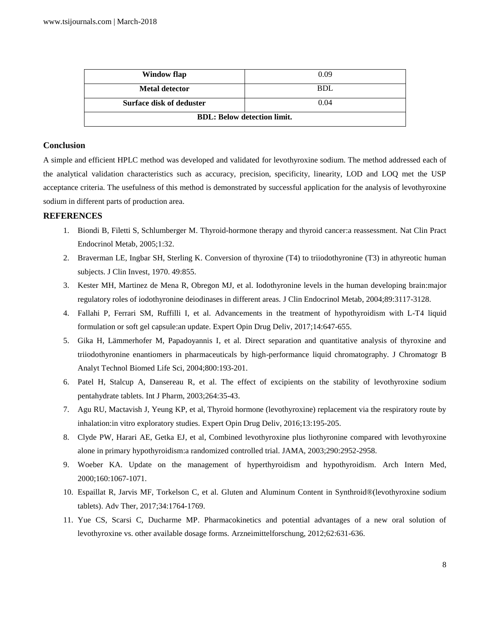| Window flap                        | 0.09       |  |
|------------------------------------|------------|--|
| <b>Metal detector</b>              | <b>BDL</b> |  |
| <b>Surface disk of deduster</b>    | 0.04       |  |
| <b>BDL: Below detection limit.</b> |            |  |

# **Conclusion**

A simple and efficient HPLC method was developed and validated for levothyroxine sodium. The method addressed each of the analytical validation characteristics such as accuracy, precision, specificity, linearity, LOD and LOQ met the USP acceptance criteria. The usefulness of this method is demonstrated by successful application for the analysis of levothyroxine sodium in different parts of production area.

# **REFERENCES**

- 1. Biondi B, Filetti S, Schlumberger M. Thyroid-hormone therapy and thyroid cancer:a reassessment. Nat Clin Pract Endocrinol Metab, 2005;1:32.
- 2. Braverman LE, Ingbar SH, Sterling K. Conversion of thyroxine (T4) to triiodothyronine (T3) in athyreotic human subjects. J Clin Invest, 1970. 49:855.
- 3. Kester MH, Martinez de Mena R, Obregon MJ, et al. Iodothyronine levels in the human developing brain:major regulatory roles of iodothyronine deiodinases in different areas. J Clin Endocrinol Metab, 2004;89:3117-3128.
- 4. Fallahi P, Ferrari SM, Ruffilli I, et al. Advancements in the treatment of hypothyroidism with L-T4 liquid formulation or soft gel capsule:an update. Expert Opin Drug Deliv, 2017;14:647-655.
- 5. Gika H, Lämmerhofer M, Papadoyannis I, et al. Direct separation and quantitative analysis of thyroxine and triiodothyronine enantiomers in pharmaceuticals by high-performance liquid chromatography. J Chromatogr B Analyt Technol Biomed Life Sci, 2004;800:193-201.
- 6. Patel H, Stalcup A, Dansereau R, et al. The effect of excipients on the stability of levothyroxine sodium pentahydrate tablets. Int J Pharm, 2003;264:35-43.
- 7. Agu RU, Mactavish J, Yeung KP, et al, Thyroid hormone (levothyroxine) replacement via the respiratory route by inhalation:in vitro exploratory studies. Expert Opin Drug Deliv, 2016;13:195-205.
- 8. Clyde PW, Harari AE, Getka EJ, et al, Combined levothyroxine plus liothyronine compared with levothyroxine alone in primary hypothyroidism:a randomized controlled trial. JAMA, 2003;290:2952-2958.
- 9. Woeber KA. Update on the management of hyperthyroidism and hypothyroidism. Arch Intern Med, 2000;160:1067-1071.
- 10. Espaillat R, Jarvis MF, Torkelson C, et al. Gluten and Aluminum Content in Synthroid®(levothyroxine sodium tablets). Adv Ther, 2017;34:1764-1769.
- 11. Yue CS, Scarsi C, Ducharme MP. Pharmacokinetics and potential advantages of a new oral solution of levothyroxine vs. other available dosage forms. Arzneimittelforschung, 2012;62:631-636.